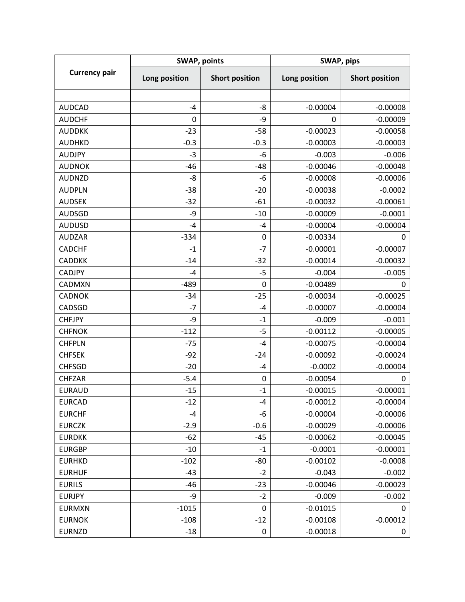| <b>Currency pair</b> | <b>SWAP, points</b> |                       | SWAP, pips    |                       |
|----------------------|---------------------|-----------------------|---------------|-----------------------|
|                      | Long position       | <b>Short position</b> | Long position | <b>Short position</b> |
|                      |                     |                       |               |                       |
| <b>AUDCAD</b>        | $-4$                | -8                    | $-0.00004$    | $-0.00008$            |
| <b>AUDCHF</b>        | 0                   | -9                    | 0             | $-0.00009$            |
| <b>AUDDKK</b>        | $-23$               | $-58$                 | $-0.00023$    | $-0.00058$            |
| <b>AUDHKD</b>        | $-0.3$              | $-0.3$                | $-0.00003$    | $-0.00003$            |
| <b>AUDJPY</b>        | $-3$                | $-6$                  | $-0.003$      | $-0.006$              |
| <b>AUDNOK</b>        | $-46$               | $-48$                 | $-0.00046$    | $-0.00048$            |
| <b>AUDNZD</b>        | -8                  | $-6$                  | $-0.00008$    | $-0.00006$            |
| <b>AUDPLN</b>        | $-38$               | $-20$                 | $-0.00038$    | $-0.0002$             |
| <b>AUDSEK</b>        | $-32$               | $-61$                 | $-0.00032$    | $-0.00061$            |
| <b>AUDSGD</b>        | -9                  | $-10$                 | $-0.00009$    | $-0.0001$             |
| <b>AUDUSD</b>        | $-4$                | $-4$                  | $-0.00004$    | $-0.00004$            |
| <b>AUDZAR</b>        | $-334$              | 0                     | $-0.00334$    | 0                     |
| <b>CADCHF</b>        | $-1$                | $-7$                  | $-0.00001$    | $-0.00007$            |
| <b>CADDKK</b>        | $-14$               | $-32$                 | $-0.00014$    | $-0.00032$            |
| <b>CADJPY</b>        | $-4$                | $-5$                  | $-0.004$      | $-0.005$              |
| <b>CADMXN</b>        | $-489$              | $\mathbf 0$           | $-0.00489$    | 0                     |
| <b>CADNOK</b>        | $-34$               | $-25$                 | $-0.00034$    | $-0.00025$            |
| CADSGD               | $-7$                | $-4$                  | $-0.00007$    | $-0.00004$            |
| <b>CHFJPY</b>        | -9                  | $-1$                  | $-0.009$      | $-0.001$              |
| <b>CHFNOK</b>        | $-112$              | $-5$                  | $-0.00112$    | $-0.00005$            |
| <b>CHFPLN</b>        | $-75$               | $-4$                  | $-0.00075$    | $-0.00004$            |
| <b>CHFSEK</b>        | $-92$               | $-24$                 | $-0.00092$    | $-0.00024$            |
| <b>CHFSGD</b>        | $-20$               | -4                    | $-0.0002$     | $-0.00004$            |
| <b>CHFZAR</b>        | $-5.4$              | $\boldsymbol{0}$      | $-0.00054$    | 0                     |
| <b>EURAUD</b>        | $-15$               | $-1$                  | $-0.00015$    | $-0.00001$            |
| <b>EURCAD</b>        | $-12$               | -4                    | $-0.00012$    | $-0.00004$            |
| <b>EURCHF</b>        | $-4$                | -6                    | $-0.00004$    | $-0.00006$            |
| <b>EURCZK</b>        | $-2.9$              | $-0.6$                | $-0.00029$    | $-0.00006$            |
| <b>EURDKK</b>        | $-62$               | $-45$                 | $-0.00062$    | $-0.00045$            |
| <b>EURGBP</b>        | $-10$               | $-1$                  | $-0.0001$     | $-0.00001$            |
| <b>EURHKD</b>        | $-102$              | $-80$                 | $-0.00102$    | $-0.0008$             |
| <b>EURHUF</b>        | $-43$               | $-2$                  | $-0.043$      | $-0.002$              |
| <b>EURILS</b>        | -46                 | $-23$                 | $-0.00046$    | $-0.00023$            |
| <b>EURJPY</b>        | -9                  | $-2$                  | $-0.009$      | $-0.002$              |
| <b>EURMXN</b>        | $-1015$             | 0                     | $-0.01015$    | 0                     |
| <b>EURNOK</b>        | $-108$              | $-12$                 | $-0.00108$    | $-0.00012$            |
| <b>EURNZD</b>        | $-18$               | 0                     | $-0.00018$    | 0                     |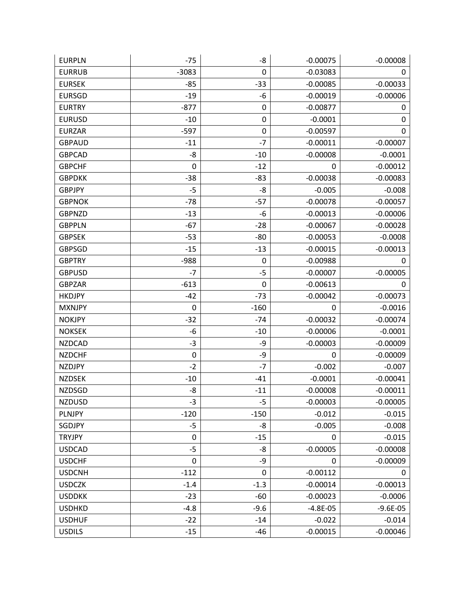| <b>EURPLN</b> | $-75$       | -8          | $-0.00075$ | $-0.00008$   |
|---------------|-------------|-------------|------------|--------------|
| <b>EURRUB</b> | $-3083$     | 0           | $-0.03083$ | 0            |
| <b>EURSEK</b> | $-85$       | $-33$       | $-0.00085$ | $-0.00033$   |
| <b>EURSGD</b> | $-19$       | -6          | $-0.00019$ | $-0.00006$   |
| <b>EURTRY</b> | $-877$      | 0           | $-0.00877$ | 0            |
| <b>EURUSD</b> | $-10$       | 0           | $-0.0001$  | 0            |
| <b>EURZAR</b> | $-597$      | 0           | $-0.00597$ | 0            |
| <b>GBPAUD</b> | $-11$       | $-7$        | $-0.00011$ | $-0.00007$   |
| <b>GBPCAD</b> | -8          | $-10$       | $-0.00008$ | $-0.0001$    |
| <b>GBPCHF</b> | $\mathbf 0$ | $-12$       | 0          | $-0.00012$   |
| <b>GBPDKK</b> | $-38$       | $-83$       | $-0.00038$ | $-0.00083$   |
| <b>GBPJPY</b> | $-5$        | -8          | $-0.005$   | $-0.008$     |
| <b>GBPNOK</b> | $-78$       | $-57$       | $-0.00078$ | $-0.00057$   |
| <b>GBPNZD</b> | $-13$       | -6          | $-0.00013$ | $-0.00006$   |
| <b>GBPPLN</b> | $-67$       | $-28$       | $-0.00067$ | $-0.00028$   |
| <b>GBPSEK</b> | $-53$       | $-80$       | $-0.00053$ | $-0.0008$    |
| <b>GBPSGD</b> | $-15$       | $-13$       | $-0.00015$ | $-0.00013$   |
| <b>GBPTRY</b> | $-988$      | 0           | $-0.00988$ | 0            |
| <b>GBPUSD</b> | $-7$        | $-5$        | $-0.00007$ | $-0.00005$   |
| <b>GBPZAR</b> | $-613$      | 0           | $-0.00613$ | 0            |
| <b>HKDJPY</b> | $-42$       | $-73$       | $-0.00042$ | $-0.00073$   |
| <b>MXNJPY</b> | 0           | $-160$      | 0          | $-0.0016$    |
| <b>NOKJPY</b> | $-32$       | $-74$       | $-0.00032$ | $-0.00074$   |
| <b>NOKSEK</b> | -6          | $-10$       | $-0.00006$ | $-0.0001$    |
| <b>NZDCAD</b> | $-3$        | -9          | $-0.00003$ | $-0.00009$   |
| <b>NZDCHF</b> | $\pmb{0}$   | -9          | 0          | $-0.00009$   |
| <b>NZDJPY</b> | $-2$        | $-7$        | $-0.002$   | $-0.007$     |
| <b>NZDSEK</b> | $-10$       | $-41$       | $-0.0001$  | $-0.00041$   |
| <b>NZDSGD</b> | -8          | $-11$       | $-0.00008$ | $-0.00011$   |
| <b>NZDUSD</b> | $-3$        | $-5$        | $-0.00003$ | $-0.00005$   |
| PLNJPY        | $-120$      | $-150$      | $-0.012$   | $-0.015$     |
| SGDJPY        | $-5$        | -8          | $-0.005$   | $-0.008$     |
| <b>TRYJPY</b> | $\pmb{0}$   | $-15$       | 0          | $-0.015$     |
| <b>USDCAD</b> | $-5$        | -8          | $-0.00005$ | $-0.00008$   |
| <b>USDCHF</b> | $\mathbf 0$ | -9          | 0          | $-0.00009$   |
| <b>USDCNH</b> | $-112$      | $\mathbf 0$ | $-0.00112$ | 0            |
| <b>USDCZK</b> | $-1.4$      | $-1.3$      | $-0.00014$ | $-0.00013$   |
| <b>USDDKK</b> | $-23$       | $-60$       | $-0.00023$ | $-0.0006$    |
| <b>USDHKD</b> | $-4.8$      | $-9.6$      | $-4.8E-05$ | $-9.6E - 05$ |
| <b>USDHUF</b> | $-22$       | $-14$       | $-0.022$   | $-0.014$     |
| <b>USDILS</b> | $-15$       | $-46$       | $-0.00015$ | $-0.00046$   |